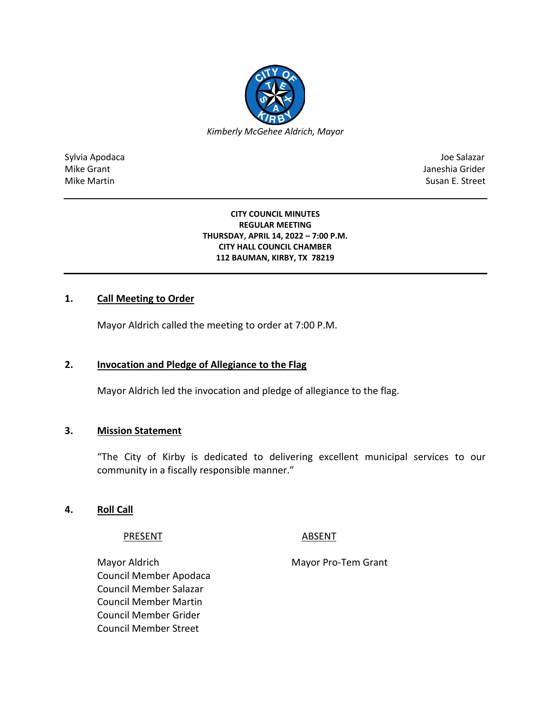

Sylvia Apodaca Joe Salazar Joe Salazar Joe Salazar Joe Salazar Joe Salazar Joe Salazar Joe Salazar Joe Salazar Mike Grant **Janeshia Grider** Mike Grant Janeshia Grider **Janeshia Grider** Mike Grant Janeshia Grider Mike Martin Susan E. Street

#### **CITY COUNCIL MINUTES REGULAR MEETING THURSDAY, APRIL 14, 2022 – 7:00 P.M. CITY HALL COUNCIL CHAMBER 112 BAUMAN, KIRBY, TX 78219**

## **1. Call Meeting to Order**

Mayor Aldrich called the meeting to order at 7:00 P.M.

## **2. Invocation and Pledge of Allegiance to the Flag**

Mayor Aldrich led the invocation and pledge of allegiance to the flag.

## **3. Mission Statement**

"The City of Kirby is dedicated to delivering excellent municipal services to our community in a fiscally responsible manner."

## **4. Roll Call**

PRESENT ABSENT

Mayor Aldrich Mayor Pro-Tem Grant Council Member Apodaca Council Member Salazar Council Member Martin Council Member Grider Council Member Street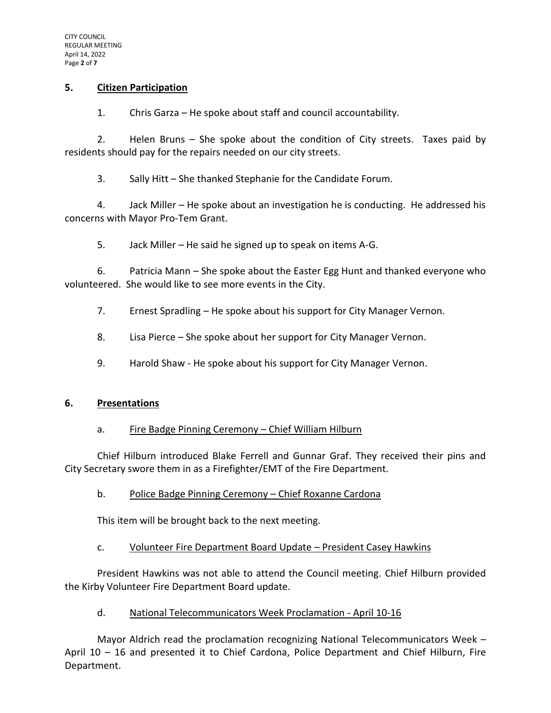## **5. Citizen Participation**

1. Chris Garza – He spoke about staff and council accountability.

2. Helen Bruns – She spoke about the condition of City streets. Taxes paid by residents should pay for the repairs needed on our city streets.

3. Sally Hitt – She thanked Stephanie for the Candidate Forum.

4. Jack Miller – He spoke about an investigation he is conducting. He addressed his concerns with Mayor Pro-Tem Grant.

5. Jack Miller – He said he signed up to speak on items A-G.

6. Patricia Mann – She spoke about the Easter Egg Hunt and thanked everyone who volunteered. She would like to see more events in the City.

7. Ernest Spradling – He spoke about his support for City Manager Vernon.

8. Lisa Pierce – She spoke about her support for City Manager Vernon.

9. Harold Shaw - He spoke about his support for City Manager Vernon.

## **6. Presentations**

## a. Fire Badge Pinning Ceremony – Chief William Hilburn

Chief Hilburn introduced Blake Ferrell and Gunnar Graf. They received their pins and City Secretary swore them in as a Firefighter/EMT of the Fire Department.

## b. Police Badge Pinning Ceremony – Chief Roxanne Cardona

This item will be brought back to the next meeting.

## c. Volunteer Fire Department Board Update – President Casey Hawkins

President Hawkins was not able to attend the Council meeting. Chief Hilburn provided the Kirby Volunteer Fire Department Board update.

## d. National Telecommunicators Week Proclamation - April 10-16

Mayor Aldrich read the proclamation recognizing National Telecommunicators Week – April 10 – 16 and presented it to Chief Cardona, Police Department and Chief Hilburn, Fire Department.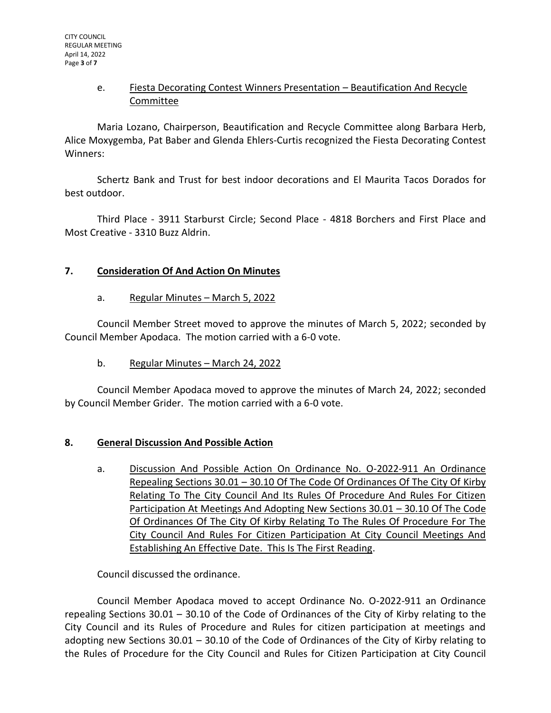## e. Fiesta Decorating Contest Winners Presentation – Beautification And Recycle Committee

Maria Lozano, Chairperson, Beautification and Recycle Committee along Barbara Herb, Alice Moxygemba, Pat Baber and Glenda Ehlers-Curtis recognized the Fiesta Decorating Contest Winners:

Schertz Bank and Trust for best indoor decorations and El Maurita Tacos Dorados for best outdoor.

Third Place - 3911 Starburst Circle; Second Place - 4818 Borchers and First Place and Most Creative - 3310 Buzz Aldrin.

# **7. Consideration Of And Action On Minutes**

# a. Regular Minutes – March 5, 2022

Council Member Street moved to approve the minutes of March 5, 2022; seconded by Council Member Apodaca. The motion carried with a 6-0 vote.

b. Regular Minutes – March 24, 2022

Council Member Apodaca moved to approve the minutes of March 24, 2022; seconded by Council Member Grider. The motion carried with a 6-0 vote.

# **8. General Discussion And Possible Action**

a. Discussion And Possible Action On Ordinance No. O-2022-911 An Ordinance Repealing Sections 30.01 – 30.10 Of The Code Of Ordinances Of The City Of Kirby Relating To The City Council And Its Rules Of Procedure And Rules For Citizen Participation At Meetings And Adopting New Sections 30.01 – 30.10 Of The Code Of Ordinances Of The City Of Kirby Relating To The Rules Of Procedure For The City Council And Rules For Citizen Participation At City Council Meetings And Establishing An Effective Date. This Is The First Reading.

Council discussed the ordinance.

Council Member Apodaca moved to accept Ordinance No. O-2022-911 an Ordinance repealing Sections 30.01 – 30.10 of the Code of Ordinances of the City of Kirby relating to the City Council and its Rules of Procedure and Rules for citizen participation at meetings and adopting new Sections 30.01 – 30.10 of the Code of Ordinances of the City of Kirby relating to the Rules of Procedure for the City Council and Rules for Citizen Participation at City Council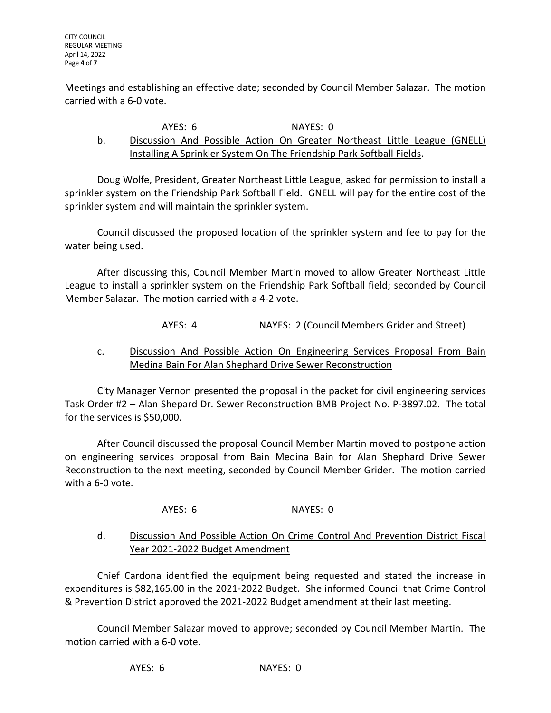Meetings and establishing an effective date; seconded by Council Member Salazar. The motion carried with a 6-0 vote.

#### AYES: 6 NAYES: 0

# b. Discussion And Possible Action On Greater Northeast Little League (GNELL) Installing A Sprinkler System On The Friendship Park Softball Fields.

Doug Wolfe, President, Greater Northeast Little League, asked for permission to install a sprinkler system on the Friendship Park Softball Field. GNELL will pay for the entire cost of the sprinkler system and will maintain the sprinkler system.

Council discussed the proposed location of the sprinkler system and fee to pay for the water being used.

After discussing this, Council Member Martin moved to allow Greater Northeast Little League to install a sprinkler system on the Friendship Park Softball field; seconded by Council Member Salazar. The motion carried with a 4-2 vote.

AYES: 4 NAYES: 2 (Council Members Grider and Street)

# c. Discussion And Possible Action On Engineering Services Proposal From Bain Medina Bain For Alan Shephard Drive Sewer Reconstruction

City Manager Vernon presented the proposal in the packet for civil engineering services Task Order #2 – Alan Shepard Dr. Sewer Reconstruction BMB Project No. P-3897.02. The total for the services is \$50,000.

After Council discussed the proposal Council Member Martin moved to postpone action on engineering services proposal from Bain Medina Bain for Alan Shephard Drive Sewer Reconstruction to the next meeting, seconded by Council Member Grider. The motion carried with a 6-0 vote.

AYES: 6 NAYES: 0

# d. Discussion And Possible Action On Crime Control And Prevention District Fiscal Year 2021-2022 Budget Amendment

Chief Cardona identified the equipment being requested and stated the increase in expenditures is \$82,165.00 in the 2021-2022 Budget. She informed Council that Crime Control & Prevention District approved the 2021-2022 Budget amendment at their last meeting.

Council Member Salazar moved to approve; seconded by Council Member Martin. The motion carried with a 6-0 vote.

AYES: 6 NAYES: 0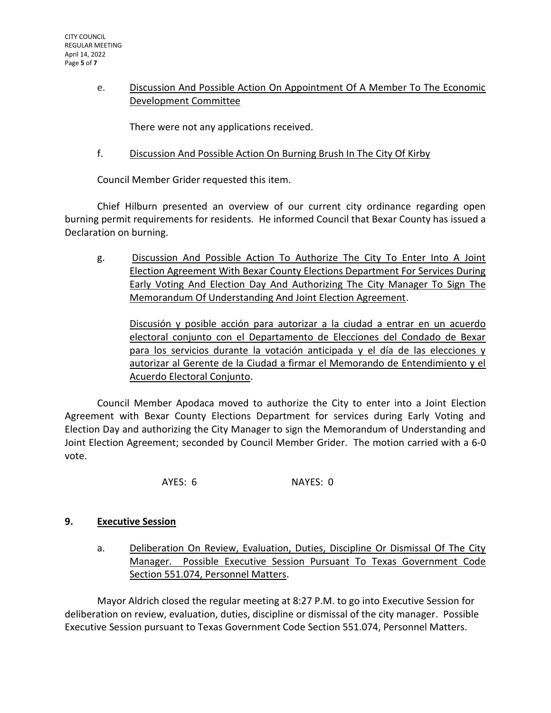# e. Discussion And Possible Action On Appointment Of A Member To The Economic Development Committee

There were not any applications received.

f. Discussion And Possible Action On Burning Brush In The City Of Kirby

Council Member Grider requested this item.

Chief Hilburn presented an overview of our current city ordinance regarding open burning permit requirements for residents. He informed Council that Bexar County has issued a Declaration on burning.

g. Discussion And Possible Action To Authorize The City To Enter Into A Joint Election Agreement With Bexar County Elections Department For Services During Early Voting And Election Day And Authorizing The City Manager To Sign The Memorandum Of Understanding And Joint Election Agreement.

Discusión y posible acción para autorizar a la ciudad a entrar en un acuerdo electoral conjunto con el Departamento de Elecciones del Condado de Bexar para los servicios durante la votación anticipada y el día de las elecciones y autorizar al Gerente de la Ciudad a firmar el Memorando de Entendimiento y el Acuerdo Electoral Conjunto.

Council Member Apodaca moved to authorize the City to enter into a Joint Election Agreement with Bexar County Elections Department for services during Early Voting and Election Day and authorizing the City Manager to sign the Memorandum of Understanding and Joint Election Agreement; seconded by Council Member Grider. The motion carried with a 6-0 vote.

AYES: 6 NAYES: 0

# **9. Executive Session**

a. Deliberation On Review, Evaluation, Duties, Discipline Or Dismissal Of The City Manager. Possible Executive Session Pursuant To Texas Government Code Section 551.074, Personnel Matters.

Mayor Aldrich closed the regular meeting at 8:27 P.M. to go into Executive Session for deliberation on review, evaluation, duties, discipline or dismissal of the city manager. Possible Executive Session pursuant to Texas Government Code Section 551.074, Personnel Matters.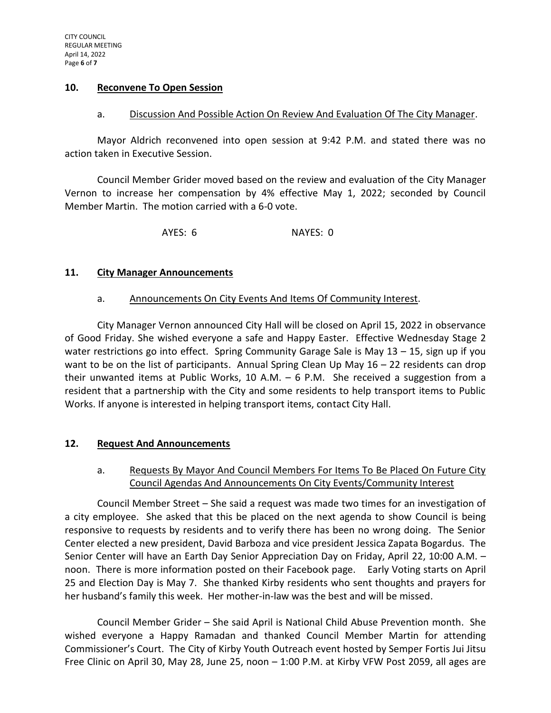#### **10. Reconvene To Open Session**

#### a. Discussion And Possible Action On Review And Evaluation Of The City Manager.

Mayor Aldrich reconvened into open session at 9:42 P.M. and stated there was no action taken in Executive Session.

Council Member Grider moved based on the review and evaluation of the City Manager Vernon to increase her compensation by 4% effective May 1, 2022; seconded by Council Member Martin. The motion carried with a 6-0 vote.

AYES: 6 NAYES: 0

## **11. City Manager Announcements**

## a. Announcements On City Events And Items Of Community Interest.

City Manager Vernon announced City Hall will be closed on April 15, 2022 in observance of Good Friday. She wished everyone a safe and Happy Easter. Effective Wednesday Stage 2 water restrictions go into effect. Spring Community Garage Sale is May 13 - 15, sign up if you want to be on the list of participants. Annual Spring Clean Up May 16 – 22 residents can drop their unwanted items at Public Works, 10 A.M. – 6 P.M. She received a suggestion from a resident that a partnership with the City and some residents to help transport items to Public Works. If anyone is interested in helping transport items, contact City Hall.

# **12. Request And Announcements**

# a. Requests By Mayor And Council Members For Items To Be Placed On Future City Council Agendas And Announcements On City Events/Community Interest

Council Member Street – She said a request was made two times for an investigation of a city employee. She asked that this be placed on the next agenda to show Council is being responsive to requests by residents and to verify there has been no wrong doing. The Senior Center elected a new president, David Barboza and vice president Jessica Zapata Bogardus. The Senior Center will have an Earth Day Senior Appreciation Day on Friday, April 22, 10:00 A.M. – noon. There is more information posted on their Facebook page. Early Voting starts on April 25 and Election Day is May 7. She thanked Kirby residents who sent thoughts and prayers for her husband's family this week. Her mother-in-law was the best and will be missed.

Council Member Grider – She said April is National Child Abuse Prevention month. She wished everyone a Happy Ramadan and thanked Council Member Martin for attending Commissioner's Court. The City of Kirby Youth Outreach event hosted by Semper Fortis Jui Jitsu Free Clinic on April 30, May 28, June 25, noon – 1:00 P.M. at Kirby VFW Post 2059, all ages are